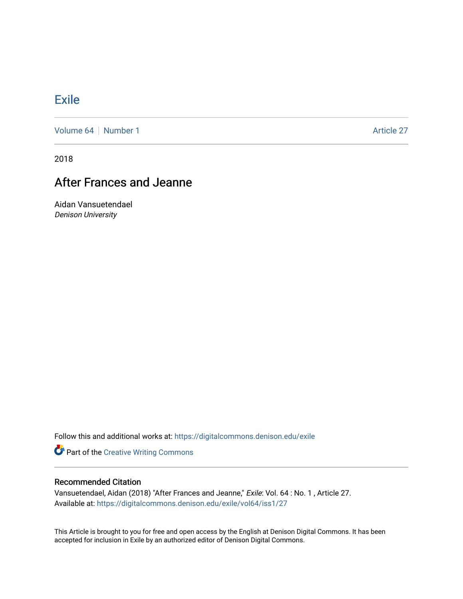## **[Exile](https://digitalcommons.denison.edu/exile)**

[Volume 64](https://digitalcommons.denison.edu/exile/vol64) [Number 1](https://digitalcommons.denison.edu/exile/vol64/iss1) Article 27

2018

## After Frances and Jeanne

Aidan Vansuetendael Denison University

Follow this and additional works at: [https://digitalcommons.denison.edu/exile](https://digitalcommons.denison.edu/exile?utm_source=digitalcommons.denison.edu%2Fexile%2Fvol64%2Fiss1%2F27&utm_medium=PDF&utm_campaign=PDFCoverPages) 

**Part of the Creative Writing Commons** 

## Recommended Citation

Vansuetendael, Aidan (2018) "After Frances and Jeanne," Exile: Vol. 64 : No. 1 , Article 27. Available at: [https://digitalcommons.denison.edu/exile/vol64/iss1/27](https://digitalcommons.denison.edu/exile/vol64/iss1/27?utm_source=digitalcommons.denison.edu%2Fexile%2Fvol64%2Fiss1%2F27&utm_medium=PDF&utm_campaign=PDFCoverPages)

This Article is brought to you for free and open access by the English at Denison Digital Commons. It has been accepted for inclusion in Exile by an authorized editor of Denison Digital Commons.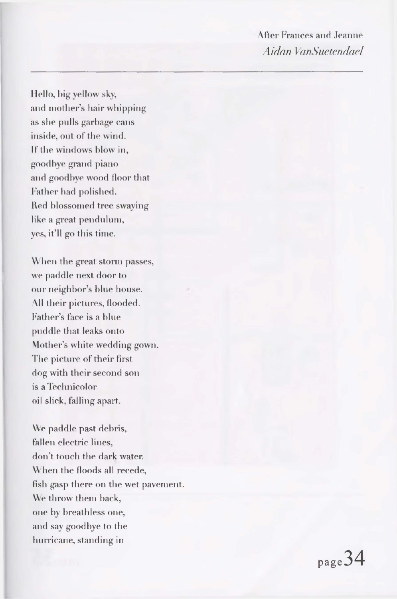After Frances and Jeanne *Aidan VanSuetendael* 

Hello, big yellow sky, and mother's hair whipping as she pulls garbage cans inside, out of the wind. If the windows blow in, goodbye grand piano and goodbye wood floor that Father had polished. Red blossomed tree swaying like a great pendulum, yes, it'll go this time.

When the great storm passes, we paddle next door to our neighbor's blue house. \II their pictures, flooded. Father's face is a blue puddle that leaks onto Mother's white wedding gown. The picture of their first dog with their second son is a Technicolor oil slick, falling apart.

We paddle past debris, fallen electric lines, don't touch the dark water. When the floods all recede, fish gasp there on the wet pavement. We throw them hack, one by breathless one, and say goodbye to the hurricane, standing in